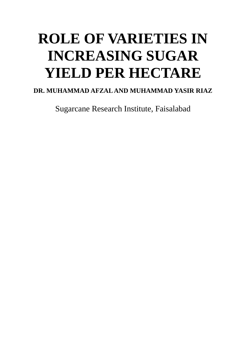# **ROLE OF VARIETIES IN INCREASING SUGAR YIELD PER HECTARE**

# **DR. MUHAMMAD AFZAL AND MUHAMMAD YASIR RIAZ**

Sugarcane Research Institute, Faisalabad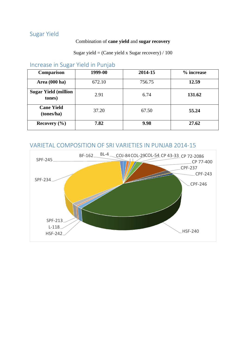# Sugar Yield

#### Combination of **cane yield** and **sugar recovery**

Sugar yield = (Cane yield x Sugar recovery)  $/ 100$ 

# Increase in Sugar Yield in Punjab

| <b>Comparison</b>                     | 1999-00 | 2014-15 | % increase |
|---------------------------------------|---------|---------|------------|
| Area (000 ha)                         | 672.10  | 756.75  | 12.59      |
| <b>Sugar Yield (million</b><br>tones) | 2.91    | 6.74    | 131.62     |
| <b>Cane Yield</b><br>(tones/ha)       | 37.20   | 67.50   | 55.24      |
| Recovery $(\% )$                      | 7.82    | 9.98    | 27.62      |

# VARIETAL COMPOSITION OF SRI VARIETIES IN PUNJAB 2014-15

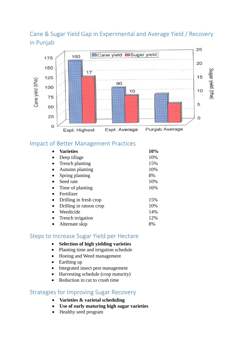# Cane & Sugar Yield Gap in Experimental and Average Yield / Recovery in Punjab



# Impact of Better Management Practices

| <b>Varieties</b>        | 10% |
|-------------------------|-----|
| Deep tillage            | 10% |
| Trench planting         | 15% |
| Autumn planting         | 10% |
| Spring planting         | 8%  |
| Seed rate               | 10% |
| Time of planting        | 16% |
| Fertilizer              |     |
| Drilling in fresh crop  | 15% |
| Drilling in ratoon crop | 10% |
| Weedicide               | 14% |
| Trench irrigation       | 12% |
| Alternate skip          | 8%  |

#### Steps to Increase Sugar Yield per Hectare

- **Selection of high yielding varieties**
- Planting time and irrigation schedule
- Hoeing and Weed management
- Earthing up
- Integrated insect pest management
- Harvesting schedule (crop maturity)
- Reduction in cut to crush time

#### Strategies for Improving Sugar Recovery

- **Varieties & varietal scheduling**
- **Use of early maturing high sugar varieties**
- Healthy seed program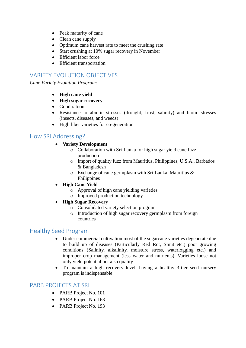- Peak maturity of cane
- Clean cane supply
- Optimum cane harvest rate to meet the crushing rate
- Start crushing at 10% sugar recovery in November
- Efficient labor force
- Efficient transportation

## VARIETY EVOLUTION OBJECTIVES

*Cane Variety Evolution Program:*

- **High cane yield**
- **High sugar recovery**
- Good ratoon
- Resistance to abiotic stresses (drought, frost, salinity) and biotic stresses (insects, diseases, and weeds)
- High fiber varieties for co-generation

#### How SRI Addressing?

#### **Variety Development**

- o Collaboration with Sri-Lanka for high sugar yield cane fuzz production
- o Import of quality fuzz from Mauritius, Philippines, U.S.A., Barbados & Bangladesh
- o Exchange of cane germplasm with Sri-Lanka, Mauritius & Philippines
- **High Cane Yield**
	- o Approval of high cane yielding varieties
	- o Improved production technology
- **High Sugar Recovery**
	- o Consolidated variety selection program
	- o Introduction of high sugar recovery germplasm from foreign countries

#### Healthy Seed Program

- Under commercial cultivation most of the sugarcane varieties degenerate due to build up of diseases (Particularly Red Rot, Smut etc.) poor growing conditions (Salinity, alkalinity, moisture stress, waterlogging etc.) and improper crop management (less water and nutrients). Varieties loose not only yield potential but also quality
- To maintain a high recovery level, having a healthy 3-tier seed nursery program is indispensable

#### PARB PROJECTS AT SRI

- PARB Project No. 101
- PARB Project No. 163
- PARB Project No. 193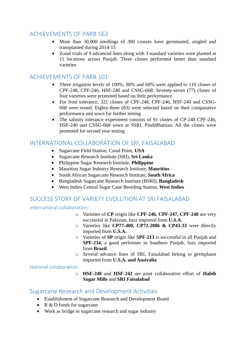## ACHIEVEMENTS OF PARB 163

- More than 30,000 seedlings of 300 crosses have germinated, singled and transplanted during 2014-15
- Zonal trials of 9 advanced lines along with 3 standard varieties were planted at 11 locations across Punjab. Three clones performed better than standard varieties

## ACHIEVEMENTS OF PARB 101

- Three irrigation levels of 100%, 80% and 60% were applied to 110 clones of CPF-248, CPF-246, HSF-240 and CSSG-668. Seventy-seven (77) clones of four varieties were promoted based on their performance
- For frost tolerance, 321 clones of CPF-248, CPF-246, HSF-240 and CSSG-668 were tested. Eighty-three (83) were selected based on their comparative performance and sown for further testing
- The salinity tolerance experiment consists of 91 clones of CP-248 CPF-246, HSF-240 and CSSG-668 sown at SSRI, PindiBhattian. All the clones were promoted for second year testing

# INTERNATIONAL COLLABORATION OF SRI, FAISALABAD

- Sugarcane Field Station, Canal Point, **USA**
- Sugarcane Research Institute (SRI), **Sri Lanka**
- Philippine Sugar Research Institute, **Philippine**
- Mauritius Sugar Industry Research Institute, **Mauritius**
- South African Sugarcane Research Institute, **South Africa**
- Bangladesh Sugarcane Research Institute (BSRI), **Bangladesh**
- West Indies Central Sugar Cane Breeding Station, **West Indies**

## SUCCESS STORY OF VARIETY EVOLUTION AT SRI FAISALABAD

International collaboration:

- o Varieties of **CP** origin like **CPF-246, CPF-247, CPF-248** are very successful in Pakistan, fuzz imported from **U.S.A.**
- o Varieties like **CP77-400, CP72-2086 & CP43-33** were directly imported from **U.S.A.**
- o Varieties of **SP** origin like **SPF-213** is successful in all Punjab and **SPF-234**, a good performer in Southern Punjab, fuzz imported from **Brazil**
- o Several advance lines of SRI, Faisalabad belong to germplasm imported from **U.S.A. and Australia**

#### National collaboration:

o **HSF-240** and **HSF-242** are joint collaborative effort of **Habib Sugar Mills** and **SRI Faisalabad**

## Sugarcane Research and Development Activities

- Establishment of Sugarcane Research and Development Board
- R & D funds for sugarcane
- Work as bridge in sugarcane research and sugar industry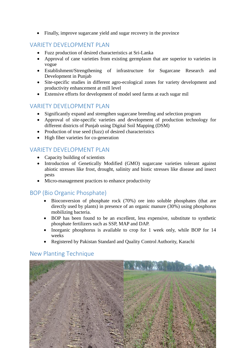Finally, improve sugarcane yield and sugar recovery in the province

## VARIETY DEVELOPMENT PLAN

- Fuzz production of desired characteristics at Sri-Lanka
- Approval of cane varieties from existing germplasm that are superior to varieties in vogue
- Establishment/Strengthening of infrastructure for Sugarcane Research and Development in Punjab
- Site-specific studies in different agro-ecological zones for variety development and productivity enhancement at mill level
- Extensive efforts for development of model seed farms at each sugar mil

# VARIETY DEVELOPMENT PLAN

- Significantly expand and strengthen sugarcane breeding and selection program
- Approval of site-specific varieties and development of production technology for different districts of Punjab using Digital Soil Mapping (DSM)
- Production of true seed (fuzz) of desired characteristics
- High fiber varieties for co-generation

# VARIETY DEVELOPMENT PLAN

- Capacity building of scientists
- Introduction of Genetically Modified (GMO) sugarcane varieties tolerant against abiotic stresses like frost, drought, salinity and biotic stresses like disease and insect pests
- Micro-management practices to enhance productivity

# BOP (Bio Organic Phosphate)

- Bioconversion of phosphate rock (70%) ore into soluble phosphates (that are directly used by plants) in presence of an organic manure (30%) using phosphorus mobilizing bacteria.
- BOP has been found to be an excellent, less expensive, substitute to synthetic phosphate fertilizers such as SSP, MAP and DAP.
- Inorganic phosphorus is available to crop for 1 week only, while BOP for 14 weeks
- Registered by Pakistan Standard and Quality Control Authority, Karachi

## New Planting Technique